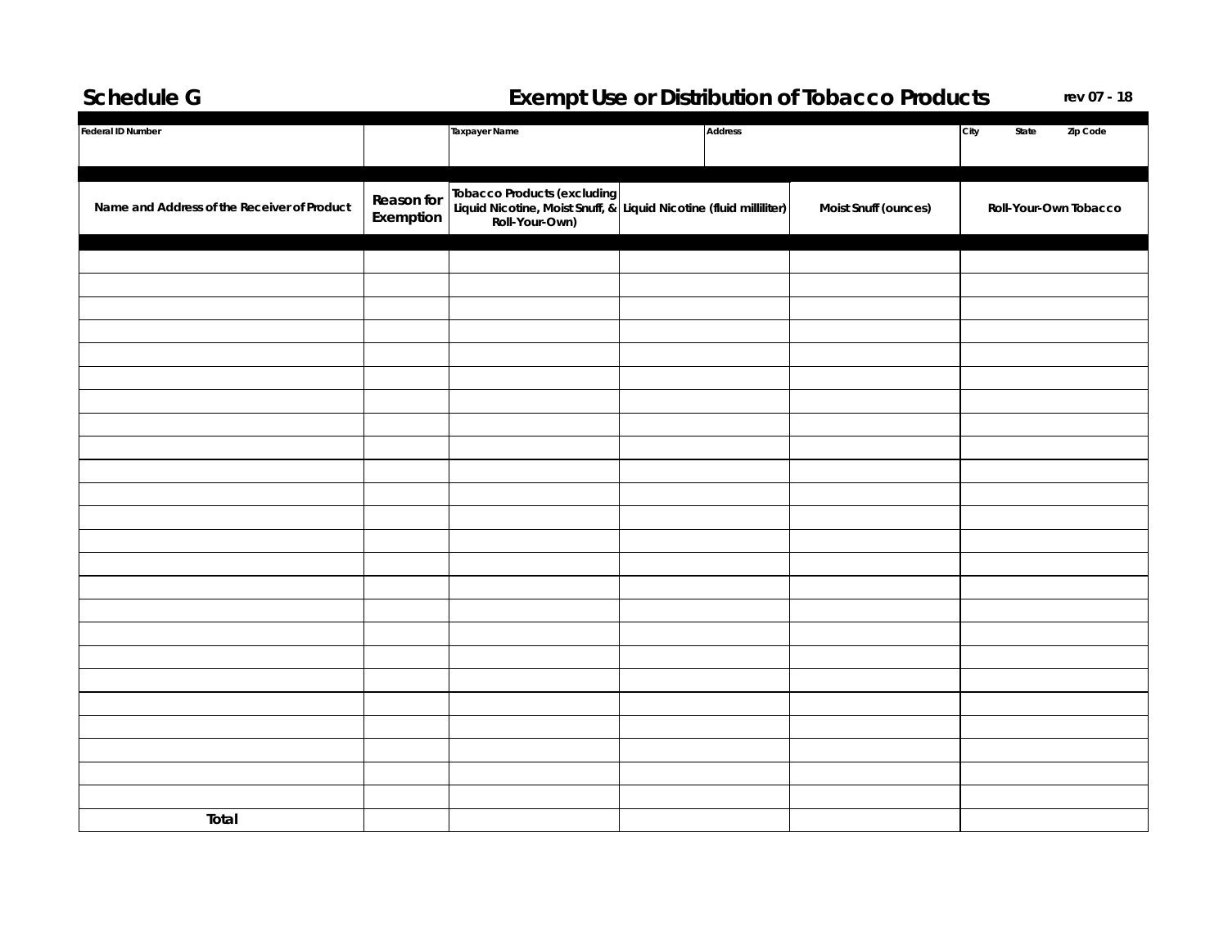## **Schedule G Exempt Use or Distribution of Tobacco Products rev 07 - 18**

| Federal ID Number                           |                         | <b>Taxpayer Name</b>                                                                                                |  | Address |                      | City<br>State<br>Zip Code |
|---------------------------------------------|-------------------------|---------------------------------------------------------------------------------------------------------------------|--|---------|----------------------|---------------------------|
|                                             |                         |                                                                                                                     |  |         |                      |                           |
| Name and Address of the Receiver of Product | Reason for<br>Exemption | Tobacco Products (excluding<br>Liquid Nicotine, Moist Snuff, & Liquid Nicotine (fluid milliliter)<br>Roll-Your-Own) |  |         | Moist Snuff (ounces) | Roll-Your-Own Tobacco     |
|                                             |                         |                                                                                                                     |  |         |                      |                           |
|                                             |                         |                                                                                                                     |  |         |                      |                           |
|                                             |                         |                                                                                                                     |  |         |                      |                           |
|                                             |                         |                                                                                                                     |  |         |                      |                           |
|                                             |                         |                                                                                                                     |  |         |                      |                           |
|                                             |                         |                                                                                                                     |  |         |                      |                           |
|                                             |                         |                                                                                                                     |  |         |                      |                           |
|                                             |                         |                                                                                                                     |  |         |                      |                           |
|                                             |                         |                                                                                                                     |  |         |                      |                           |
|                                             |                         |                                                                                                                     |  |         |                      |                           |
|                                             |                         |                                                                                                                     |  |         |                      |                           |
|                                             |                         |                                                                                                                     |  |         |                      |                           |
|                                             |                         |                                                                                                                     |  |         |                      |                           |
|                                             |                         |                                                                                                                     |  |         |                      |                           |
|                                             |                         |                                                                                                                     |  |         |                      |                           |
|                                             |                         |                                                                                                                     |  |         |                      |                           |
|                                             |                         |                                                                                                                     |  |         |                      |                           |
|                                             |                         |                                                                                                                     |  |         |                      |                           |
|                                             |                         |                                                                                                                     |  |         |                      |                           |
|                                             |                         |                                                                                                                     |  |         |                      |                           |
|                                             |                         |                                                                                                                     |  |         |                      |                           |
|                                             |                         |                                                                                                                     |  |         |                      |                           |
|                                             |                         |                                                                                                                     |  |         |                      |                           |
|                                             |                         |                                                                                                                     |  |         |                      |                           |
| Total                                       |                         |                                                                                                                     |  |         |                      |                           |